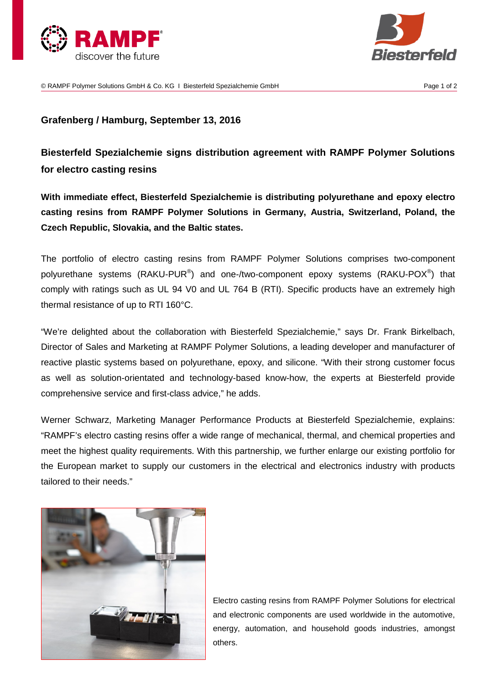



© RAMPF Polymer Solutions GmbH & Co. KG I Biesterfeld Spezialchemie GmbH Page 1 of 2

## **Grafenberg / Hamburg, September 13, 2016**

**Biesterfeld Spezialchemie signs distribution agreement with RAMPF Polymer Solutions for electro casting resins**

**With immediate effect, Biesterfeld Spezialchemie is distributing polyurethane and epoxy electro casting resins from RAMPF Polymer Solutions in Germany, Austria, Switzerland, Poland, the Czech Republic, Slovakia, and the Baltic states.**

The portfolio of electro casting resins from RAMPF Polymer Solutions comprises two-component polyurethane systems (RAKU-PUR®) and one-/two-component epoxy systems (RAKU-POX®) that comply with ratings such as UL 94 V0 and UL 764 B (RTI). Specific products have an extremely high thermal resistance of up to RTI 160°C.

"We're delighted about the collaboration with Biesterfeld Spezialchemie," says Dr. Frank Birkelbach, Director of Sales and Marketing at RAMPF Polymer Solutions, a leading developer and manufacturer of reactive plastic systems based on polyurethane, epoxy, and silicone. "With their strong customer focus as well as solution-orientated and technology-based know-how, the experts at Biesterfeld provide comprehensive service and first-class advice," he adds.

Werner Schwarz, Marketing Manager Performance Products at Biesterfeld Spezialchemie, explains: "RAMPF's electro casting resins offer a wide range of mechanical, thermal, and chemical properties and meet the highest quality requirements. With this partnership, we further enlarge our existing portfolio for the European market to supply our customers in the electrical and electronics industry with products tailored to their needs."



Electro casting resins from RAMPF Polymer Solutions for electrical and electronic components are used worldwide in the automotive, energy, automation, and household goods industries, amongst others.